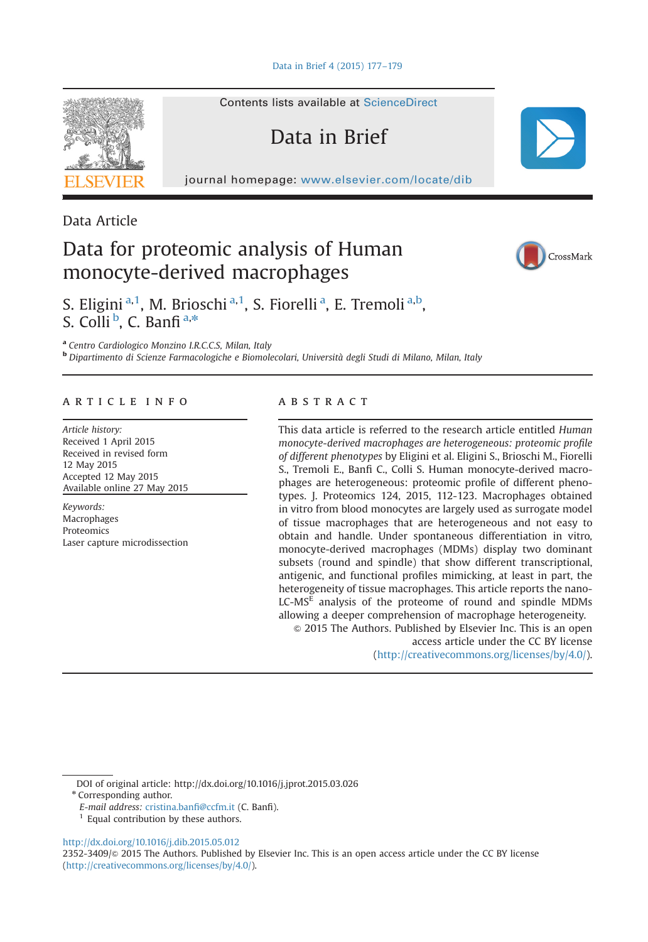[Data in Brief 4 \(2015\) 177](http://dx.doi.org/10.1016/j.dib.2015.05.012)–179

Contents lists available at [ScienceDirect](www.elsevier.com/locate/dib)

Data in Brief

journal homepage: <www.elsevier.com/locate/dib>



Data Article

# Data for proteomic analysis of Human monocyte-derived macrophages



CrossMark

S. Eligini<sup>a, 1</sup>, M. Brioschi<sup>a, 1</sup>, S. Fiorelli<sup>a</sup>, E. Tremoli<sup>a, b</sup>, S. Colli<sup>b</sup>, C. Banfi<sup>a,\*</sup>

<sup>a</sup> Centro Cardiologico Monzino I.R.C.C.S, Milan, Italy <sup>b</sup> Dipartimento di Scienze Farmacologiche e Biomolecolari, Università degli Studi di Milano, Milan, Italy

# article info

Article history: Received 1 April 2015 Received in revised form 12 May 2015 Accepted 12 May 2015 Available online 27 May 2015

Keywords: Macrophages Proteomics Laser capture microdissection

## **ABSTRACT**

This data article is referred to the research article entitled Human monocyte-derived macrophages are heterogeneous: proteomic profile of different phenotypes by Eligini et al. Eligini S., Brioschi M., Fiorelli S., Tremoli E., Banfi C., Colli S. Human monocyte-derived macrophages are heterogeneous: proteomic profile of different phenotypes. J. Proteomics 124, 2015, 112-123. Macrophages obtained in vitro from blood monocytes are largely used as surrogate model of tissue macrophages that are heterogeneous and not easy to obtain and handle. Under spontaneous differentiation in vitro, monocyte-derived macrophages (MDMs) display two dominant subsets (round and spindle) that show different transcriptional, antigenic, and functional profiles mimicking, at least in part, the heterogeneity of tissue macrophages. This article reports the nano-LC-MSE analysis of the proteome of round and spindle MDMs allowing a deeper comprehension of macrophage heterogeneity.  $\odot$  2015 The Authors. Published by Elsevier Inc. This is an open

access article under the CC BY license (http://creativecommons.org/licenses/by/4.0/).

2352-3409/& 2015 The Authors. Published by Elsevier Inc. This is an open access article under the CC BY license (http://creativecommons.org/licenses/by/4.0/).

DOI of original article:<http://dx.doi.org/10.1016/j.jprot.2015.03.026>

<sup>\*</sup> Corresponding author.

E-mail address: [cristina.ban](mailto:cristina.banfi@ccfm.it)fi@ccfm.it (C. Banfi).

 $1$  Equal contribution by these authors.

<http://dx.doi.org/10.1016/j.dib.2015.05.012>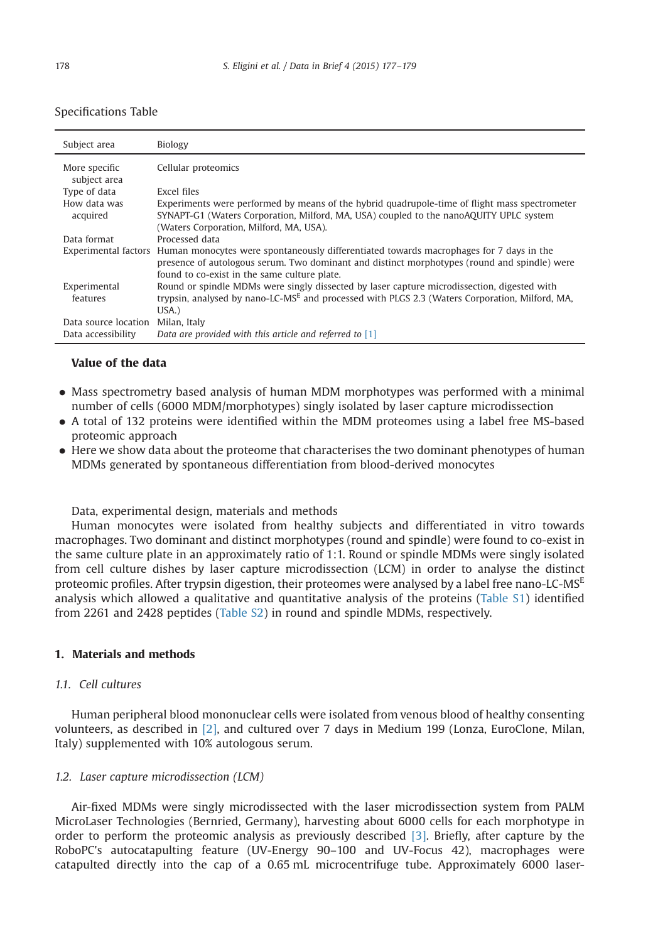| Specifications Table |  |
|----------------------|--|
|----------------------|--|

| Subject area                  | Biology                                                                                                                                                                                                                                                      |
|-------------------------------|--------------------------------------------------------------------------------------------------------------------------------------------------------------------------------------------------------------------------------------------------------------|
| More specific<br>subject area | Cellular proteomics                                                                                                                                                                                                                                          |
| Type of data                  | Excel files                                                                                                                                                                                                                                                  |
| How data was<br>acquired      | Experiments were performed by means of the hybrid quadrupole-time of flight mass spectrometer<br>SYNAPT-G1 (Waters Corporation, Milford, MA, USA) coupled to the nanoAQUITY UPLC system<br>(Waters Corporation, Milford, MA, USA).                           |
| Data format                   | Processed data                                                                                                                                                                                                                                               |
|                               | Experimental factors Human monocytes were spontaneously differentiated towards macrophages for 7 days in the<br>presence of autologous serum. Two dominant and distinct morphotypes (round and spindle) were<br>found to co-exist in the same culture plate. |
| Experimental<br>features      | Round or spindle MDMs were singly dissected by laser capture microdissection, digested with<br>trypsin, analysed by nano-LC-MS <sup>E</sup> and processed with PLGS 2.3 (Waters Corporation, Milford, MA,<br>$USA.$ )                                        |
| Data source location          | Milan, Italy                                                                                                                                                                                                                                                 |
| Data accessibility            | Data are provided with this article and referred to $[1]$                                                                                                                                                                                                    |

## Value of the data

- Mass spectrometry based analysis of human MDM morphotypes was performed with a minimal number of cells (6000 MDM/morphotypes) singly isolated by laser capture microdissection
- A total of 132 proteins were identified within the MDM proteomes using a label free MS-based proteomic approach
- Here we show data about the proteome that characterises the two dominant phenotypes of human MDMs generated by spontaneous differentiation from blood-derived monocytes

Data, experimental design, materials and methods

Human monocytes were isolated from healthy subjects and differentiated in vitro towards macrophages. Two dominant and distinct morphotypes (round and spindle) were found to co-exist in the same culture plate in an approximately ratio of 1:1. Round or spindle MDMs were singly isolated from cell culture dishes by laser capture microdissection (LCM) in order to analyse the distinct proteomic profiles. After trypsin digestion, their proteomes were analysed by a label free nano-LC-MS $^E$ analysis which allowed a qualitative and quantitative analysis of the proteins [\(Table S1](#page-2-0)) identified from 2261 and 2428 peptides ([Table S2](#page-2-0)) in round and spindle MDMs, respectively.

### 1. Materials and methods

# 1.1. Cell cultures

Human peripheral blood mononuclear cells were isolated from venous blood of healthy consenting volunteers, as described in [\[2\],](#page-2-0) and cultured over 7 days in Medium 199 (Lonza, EuroClone, Milan, Italy) supplemented with 10% autologous serum.

#### 1.2. Laser capture microdissection (LCM)

Air-fixed MDMs were singly microdissected with the laser microdissection system from PALM MicroLaser Technologies (Bernried, Germany), harvesting about 6000 cells for each morphotype in order to perform the proteomic analysis as previously described [\[3\].](#page-2-0) Briefly, after capture by the RoboPC's autocatapulting feature (UV-Energy 90–100 and UV-Focus 42), macrophages were catapulted directly into the cap of a 0.65 mL microcentrifuge tube. Approximately 6000 laser